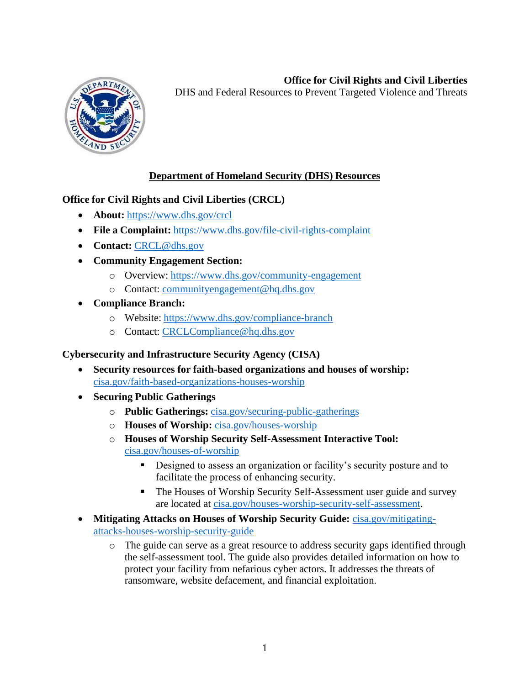# **Office for Civil Rights and Civil Liberties**



DHS and Federal Resources to Prevent Targeted Violence and Threats

## **Department of Homeland Security (DHS) Resources**

### **Office for Civil Rights and Civil Liberties (CRCL)**

- **About:** <https://www.dhs.gov/crcl>
- **File a Complaint:** <https://www.dhs.gov/file-civil-rights-complaint>
- **Contact:** [CRCL@dhs.gov](mailto:CRCL@dhs.gov)
- **Community Engagement Section:** 
	- o Overview:<https://www.dhs.gov/community-engagement>
	- o Contact: [communityengagement@hq.dhs.gov](mailto:communityengagement@hq.dhs.gov)
- **Compliance Branch:** 
	- o Website:<https://www.dhs.gov/compliance-branch>
	- o Contact: [CRCLCompliance@hq.dhs.gov](mailto:CRCLCompliance@hq.dhs.gov)

### **Cybersecurity and Infrastructure Security Agency (CISA)**

- **Security resources for faith-based organizations and houses of worship:**  [cisa.gov/faith-based-organizations-houses-worship](https://www.cisa.gov/faith-based-organizations-houses-worship)
- **Securing Public Gatherings** 
	- o **Public Gatherings:** [cisa.gov/securing-public-gatherings](https://www.cisa.gov/securing-public-gatherings)
	- o **Houses of Worship:** [cisa.gov/houses-worship](https://www.cisa.gov/houses-worship)
	- o **Houses of Worship Security Self-Assessment Interactive Tool:**  [cisa.gov/houses-of-worship](https://www.cisa.gov/houses-of-worship) 
		- Designed to assess an organization or facility's security posture and to facilitate the process of enhancing security.
		- The Houses of Worship Security Self-Assessment user guide and survey are located at [cisa.gov/houses-worship-security-self-assessment.](https://www.cisa.gov/houses-worship-security-self-assessment)
- **Mitigating Attacks on Houses of Worship Security Guide:** [cisa.gov/mitigating](https://www.cisa.gov/mitigating-attacks-houses-worship-security-guide)[attacks-houses-worship-security-guide](https://www.cisa.gov/mitigating-attacks-houses-worship-security-guide) 
	- o The guide can serve as a great resource to address security gaps identified through the self-assessment tool. The guide also provides detailed information on how to protect your facility from nefarious cyber actors. It addresses the threats of ransomware, website defacement, and financial exploitation.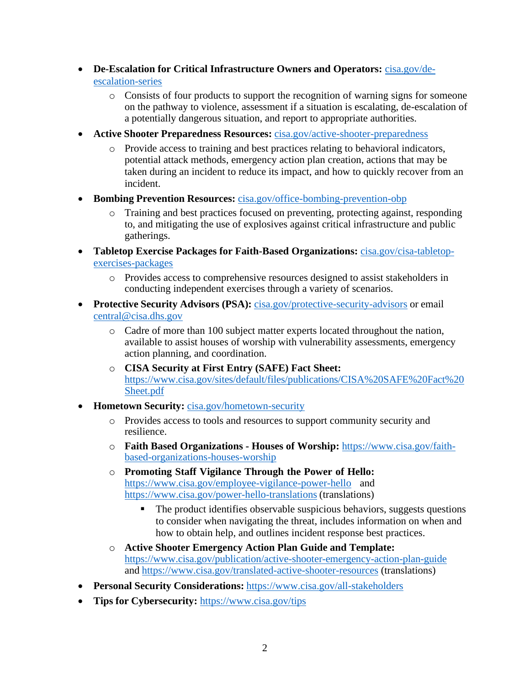- **De-Escalation for Critical Infrastructure Owners and Operators:** [cisa.gov/de](https://www.cisa.gov/de-escalation-series)[escalation-series](https://www.cisa.gov/de-escalation-series) 
	- o Consists of four products to support the recognition of warning signs for someone on the pathway to violence, assessment if a situation is escalating, de-escalation of a potentially dangerous situation, and report to appropriate authorities.
- **Active Shooter Preparedness Resources:** [cisa.gov/active-shooter-preparedness](https://www.cisa.gov/active-shooter-preparedness) 
	- o Provide access to training and best practices relating to behavioral indicators, potential attack methods, emergency action plan creation, actions that may be taken during an incident to reduce its impact, and how to quickly recover from an incident.
- **Bombing Prevention Resources:** [cisa.gov/office-bombing-prevention-obp](https://www.cisa.gov/office-bombing-prevention-obp) 
	- o Training and best practices focused on preventing, protecting against, responding to, and mitigating the use of explosives against critical infrastructure and public gatherings.
- **Tabletop Exercise Packages for Faith-Based Organizations:** [cisa.gov/cisa-tabletop](https://www.cisa.gov/cisa-tabletop-exercises-packages)[exercises-packages](https://www.cisa.gov/cisa-tabletop-exercises-packages) 
	- o Provides access to comprehensive resources designed to assist stakeholders in conducting independent exercises through a variety of scenarios.
- **Protective Security Advisors (PSA):** [cisa.gov/protective-security-advisors o](https://www.cisa.gov/protective-security-advisors)r email [central@cisa.dhs.gov](mailto:central@cisa.dhs.gov) 
	- o Cadre of more than 100 subject matter experts located throughout the nation, available to assist houses of worship with vulnerability assessments, emergency action planning, and coordination.
	- o **CISA Security at First Entry (SAFE) Fact Sheet:**  [https://www.cisa.gov/sites/default/files/publications/CISA%20SAFE%20Fact%20](https://www.cisa.gov/sites/default/files/publications/CISA%20SAFE%20Fact%20Sheet.pdf)  [Sheet.pdf](https://www.cisa.gov/sites/default/files/publications/CISA%20SAFE%20Fact%20Sheet.pdf)
- **Hometown Security:** cisa.gov/hometown-security
	- o Provides access to tools and resources to support community security and resilience.
	- o **Faith Based Organizations - Houses of Worship:** [https://www.cisa.gov/faith](https://www.cisa.gov/faith-based-organizations-houses-worship)[based-organizations-houses-worship](https://www.cisa.gov/faith-based-organizations-houses-worship)
	- o **Promoting Staff Vigilance Through the Power of Hello:**  [https://www.cisa.gov/employee-vigilance-power-hello a](https://www.cisa.gov/employee-vigilance-power-hello)nd [https://www.cisa.gov/power-hello-translations \(](https://www.cisa.gov/power-hello-translations)translations)
		- **The product identifies observable suspicious behaviors, suggests questions** to consider when navigating the threat, includes information on when and how to obtain help, and outlines incident response best practices.
	- o **Active Shooter Emergency Action Plan Guide and Template:**  <https://www.cisa.gov/publication/active-shooter-emergency-action-plan-guide> and [https://www.cisa.gov/translated-active-shooter-resources \(](https://www.cisa.gov/translated-active-shooter-resources)translations)
- **Personal Security Considerations:** <https://www.cisa.gov/all-stakeholders>
- **Tips for Cybersecurity:** <https://www.cisa.gov/tips>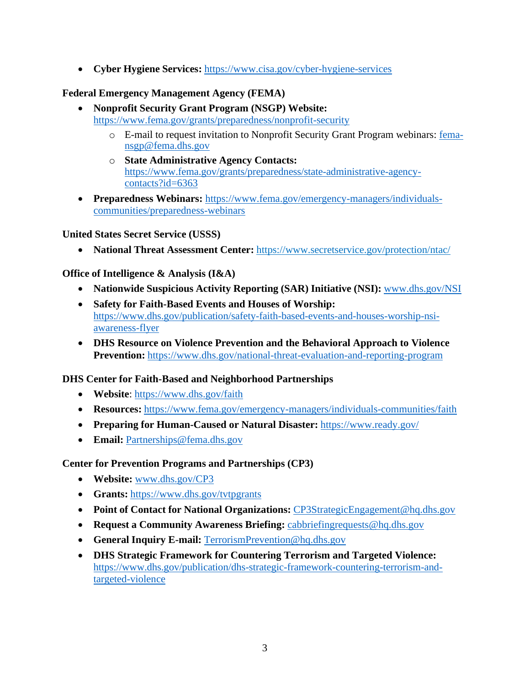• **Cyber Hygiene Services:** <https://www.cisa.gov/cyber-hygiene-services>

## **Federal Emergency Management Agency (FEMA)**

- **Nonprofit Security Grant Program (NSGP) Website:**  <https://www.fema.gov/grants/preparedness/nonprofit-security>
	- o E-mail to request invitation to Nonprofit Security Grant Program webinars: [fema](mailto:fema-nsgp@fema.dhs.gov)[nsgp@fema.dhs.gov](mailto:fema-nsgp@fema.dhs.gov)
	- o **State Administrative Agency Contacts:**  [https://www.fema.gov/grants/preparedness/state-administrative-agency](https://www.fema.gov/grants/preparedness/state-administrative-agency-contacts?id=6363)[contacts?id=6363](https://www.fema.gov/grants/preparedness/state-administrative-agency-contacts?id=6363)
- **Preparedness Webinars:** [https://www.fema.gov/emergency-managers/individuals](https://www.fema.gov/emergency-managers/individuals-communities/preparedness-webinars)[communities/preparedness-webinars](https://www.fema.gov/emergency-managers/individuals-communities/preparedness-webinars)

### **United States Secret Service (USSS)**

• **National Threat Assessment Center:** <https://www.secretservice.gov/protection/ntac/>

## **Office of Intelligence & Analysis (I&A)**

- **Nationwide Suspicious Activity Reporting (SAR) Initiative (NSI):** [www.dhs.gov/NSI](http://www.dhs.gov/NSI)
- **Safety for Faith-Based Events and Houses of Worship:**  [https://www.dhs.gov/publication/safety-faith-based-events-and-houses-worship-nsi](https://www.dhs.gov/publication/safety-faith-based-events-and-houses-worship-nsi-awareness-flyer)[awareness-flyer](https://www.dhs.gov/publication/safety-faith-based-events-and-houses-worship-nsi-awareness-flyer)
- **DHS Resource on Violence Prevention and the Behavioral Approach to Violence Prevention:** <https://www.dhs.gov/national-threat-evaluation-and-reporting-program>

## **DHS Center for Faith-Based and Neighborhood Partnerships**

- **Website**:<https://www.dhs.gov/faith>
- **Resources:** <https://www.fema.gov/emergency-managers/individuals-communities/faith>
- **Preparing for Human-Caused or Natural Disaster:** <https://www.ready.gov/>
- **Email:** Partnerships@fema.dhs.gov

### **Center for Prevention Programs and Partnerships (CP3)**

- **Website:** [www.dhs.gov/CP3](http://www.dhs.gov/CP3)
- **Grants:** <https://www.dhs.gov/tvtpgrants>
- **Point of Contact for National Organizations:** CP3StrategicEngagement@hq.dhs.gov
- **Request a Community Awareness Briefing:** cabbriefing requests @hq.dhs.gov
- **General Inquiry E-mail:** [TerrorismPrevention@hq.dhs.gov](mailto:TerrorismPrevention@hq.dhs.gov)
- **DHS Strategic Framework for Countering Terrorism and Targeted Violence:**  [https://www.dhs.gov/publication/dhs-strategic-framework-countering-terrorism-and](https://www.dhs.gov/publication/dhs-strategic-framework-countering-terrorism-and-targeted-violence)[targeted-violence](https://www.dhs.gov/publication/dhs-strategic-framework-countering-terrorism-and-targeted-violence)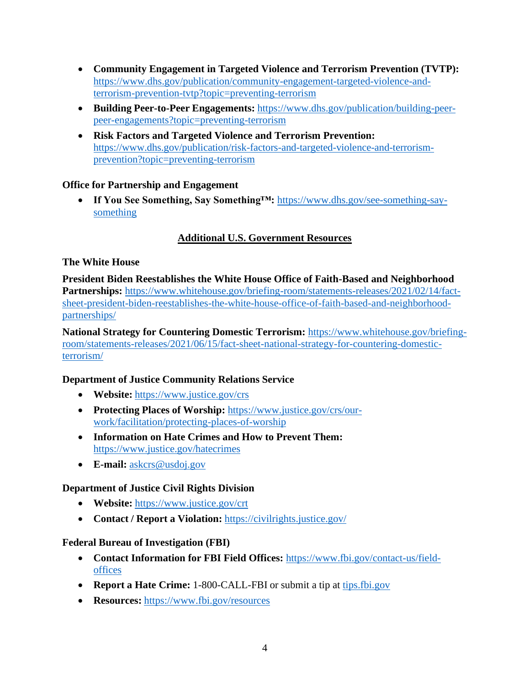- **Community Engagement in Targeted Violence and Terrorism Prevention (TVTP):**  [https://www.dhs.gov/publication/community-engagement-targeted-violence-and](https://www.dhs.gov/publication/community-engagement-targeted-violence-and-terrorism-prevention-tvtp?topic=preventing-terrorism)[terrorism-prevention-tvtp?topic=preventing-terrorism](https://www.dhs.gov/publication/community-engagement-targeted-violence-and-terrorism-prevention-tvtp?topic=preventing-terrorism)
- **Building Peer-to-Peer Engagements:** [https://www.dhs.gov/publication/building-peer](https://www.dhs.gov/publication/building-peer-peer-engagements?topic=preventing-terrorism)[peer-engagements?topic=preventing-terrorism](https://www.dhs.gov/publication/building-peer-peer-engagements?topic=preventing-terrorism)
- **Risk Factors and Targeted Violence and Terrorism Prevention:**  [https://www.dhs.gov/publication/risk-factors-and-targeted-violence-and-terrorism](https://www.dhs.gov/publication/risk-factors-and-targeted-violence-and-terrorism-prevention?topic=preventing-terrorism)[prevention?topic=preventing-terrorism](https://www.dhs.gov/publication/risk-factors-and-targeted-violence-and-terrorism-prevention?topic=preventing-terrorism)

### **Office for Partnership and Engagement**

• **If You See Something, Say Something™:** [https://www.dhs.gov/see-something-say](https://www.dhs.gov/see-something-say-something)[something](https://www.dhs.gov/see-something-say-something) 

## **Additional U.S. Government Resources**

### **The White House**

**President Biden Reestablishes the White House Office of Faith-Based and Neighborhood Partnerships:** [https://www.whitehouse.gov/briefing-room/statements-releases/2021/02/14/fact](https://www.whitehouse.gov/briefing-room/statements-releases/2021/02/14/fact-sheet-president-biden-reestablishes-the-white-house-office-of-faith-based-and-neighborhood-partnerships/)[sheet-president-biden-reestablishes-the-white-house-office-of-faith-based-and-neighborhood](https://www.whitehouse.gov/briefing-room/statements-releases/2021/02/14/fact-sheet-president-biden-reestablishes-the-white-house-office-of-faith-based-and-neighborhood-partnerships/)[partnerships/](https://www.whitehouse.gov/briefing-room/statements-releases/2021/02/14/fact-sheet-president-biden-reestablishes-the-white-house-office-of-faith-based-and-neighborhood-partnerships/) 

**National Strategy for Countering Domestic Terrorism:** [https://www.whitehouse.gov/briefing](https://www.whitehouse.gov/briefing-room/statements-releases/2021/06/15/fact-sheet-national-strategy-for-countering-domestic-terrorism/)[room/statements-releases/2021/06/15/fact-sheet-national-strategy-for-countering-domestic](https://www.whitehouse.gov/briefing-room/statements-releases/2021/06/15/fact-sheet-national-strategy-for-countering-domestic-terrorism/)[terrorism/](https://www.whitehouse.gov/briefing-room/statements-releases/2021/06/15/fact-sheet-national-strategy-for-countering-domestic-terrorism/) 

## **Department of Justice Community Relations Service**

- **Website:** <https://www.justice.gov/crs>
- **Protecting Places of Worship:** [https://www.justice.gov/crs/our](https://www.justice.gov/crs/our-work/facilitation/protecting-places-of-worship)[work/facilitation/protecting-places-of-worship](https://www.justice.gov/crs/our-work/facilitation/protecting-places-of-worship)
- **Information on Hate Crimes and How to Prevent Them:**  <https://www.justice.gov/hatecrimes>
- **E-mail:** [askcrs@usdoj.gov](mailto:askcrs@usdoj.gov)

## **Department of Justice Civil Rights Division**

- **Website:** <https://www.justice.gov/crt>
- **Contact / Report a Violation:** <https://civilrights.justice.gov/>

### **Federal Bureau of Investigation (FBI)**

- **Contact Information for FBI Field Offices:** https:/[/www.fbi.gov/contact-us/field](http://www.fbi.gov/contact-us/field-)offices
- **Report a Hate Crime:** 1-800-CALL-FBI or submit a tip at tips.fbi.gov
- **Resources:** https:/[/www.fbi.gov/resources](http://www.fbi.gov/resources)